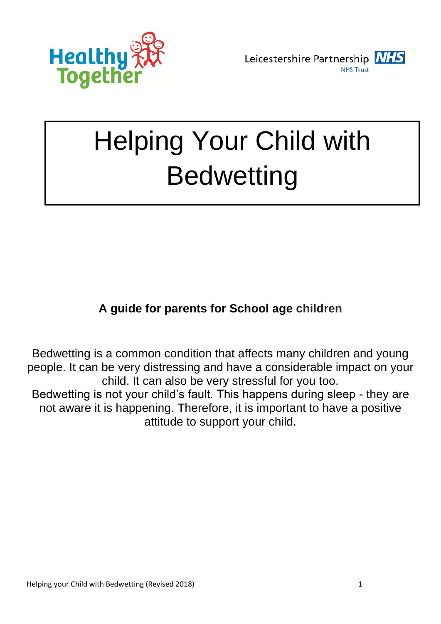



# Helping Your Child with **Bedwetting**

### **A guide for parents for School age children**

Bedwetting is a common condition that affects many children and young people. It can be very distressing and have a considerable impact on your child. It can also be very stressful for you too. Bedwetting is not your child's fault. This happens during sleep - they are not aware it is happening. Therefore, it is important to have a positive attitude to support your child.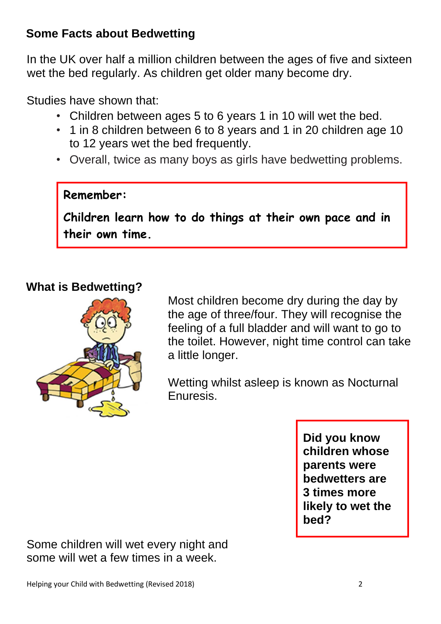#### **Some Facts about Bedwetting**

In the UK over half a million children between the ages of five and sixteen wet the bed regularly. As children get older many become dry.

Studies have shown that:

- Children between ages 5 to 6 years 1 in 10 will wet the bed.
- 1 in 8 children between 6 to 8 years and 1 in 20 children age 10 to 12 years wet the bed frequently.
- Overall, twice as many boys as girls have bedwetting problems.

#### **Remember:**

**Children learn how to do things at their own pace and in their own time.**

#### **What is Bedwetting?**



Most children become dry during the day by the age of three/four. They will recognise the feeling of a full bladder and will want to go to the toilet. However, night time control can take a little longer.

Wetting whilst asleep is known as Nocturnal Enuresis.

> **Did you know children whose parents were bedwetters are 3 times more likely to wet the bed?**

Some children will wet every night and some will wet a few times in a week.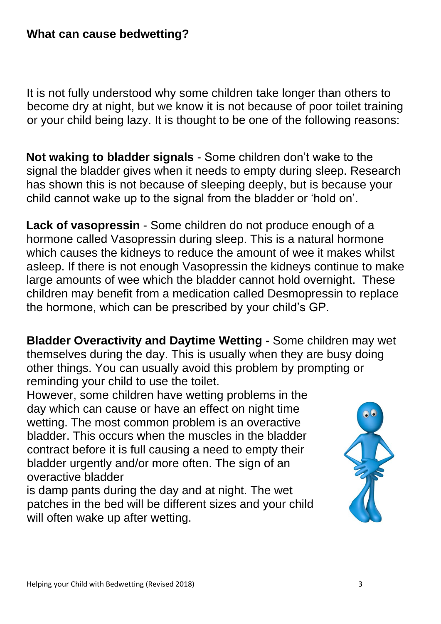#### **What can cause bedwetting?**

It is not fully understood why some children take longer than others to become dry at night, but we know it is not because of poor toilet training or your child being lazy. It is thought to be one of the following reasons:

**Not waking to bladder signals** - Some children don't wake to the signal the bladder gives when it needs to empty during sleep. Research has shown this is not because of sleeping deeply, but is because your child cannot wake up to the signal from the bladder or 'hold on'.

**Lack of vasopressin** - Some children do not produce enough of a hormone called Vasopressin during sleep. This is a natural hormone which causes the kidneys to reduce the amount of wee it makes whilst asleep. If there is not enough Vasopressin the kidneys continue to make large amounts of wee which the bladder cannot hold overnight. These children may benefit from a medication called Desmopressin to replace the hormone, which can be prescribed by your child's GP.

**Bladder Overactivity and Daytime Wetting -** Some children may wet themselves during the day. This is usually when they are busy doing other things. You can usually avoid this problem by prompting or reminding your child to use the toilet.

However, some children have wetting problems in the day which can cause or have an effect on night time wetting. The most common problem is an overactive bladder. This occurs when the muscles in the bladder contract before it is full causing a need to empty their bladder urgently and/or more often. The sign of an overactive bladder

is damp pants during the day and at night. The wet patches in the bed will be different sizes and your child will often wake up after wetting.

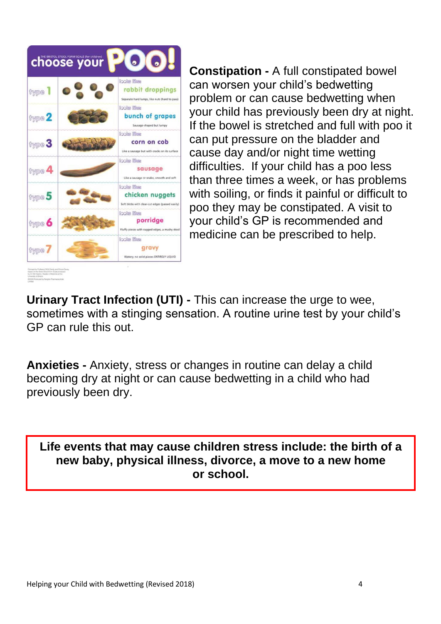

**Constipation -** A full constipated bowel can worsen your child's bedwetting problem or can cause bedwetting when your child has previously been dry at night. If the bowel is stretched and full with poo it can put pressure on the bladder and cause day and/or night time wetting difficulties. If your child has a poo less than three times a week, or has problems with soiling, or finds it painful or difficult to poo they may be constipated. A visit to your child's GP is recommended and medicine can be prescribed to help.

**Urinary Tract Infection (UTI) -** This can increase the urge to wee, sometimes with a stinging sensation. A routine urine test by your child's GP can rule this out.

**Anxieties -** Anxiety, stress or changes in routine can delay a child becoming dry at night or can cause bedwetting in a child who had previously been dry.

**Life events that may cause children stress include: the birth of a new baby, physical illness, divorce, a move to a new home or school.**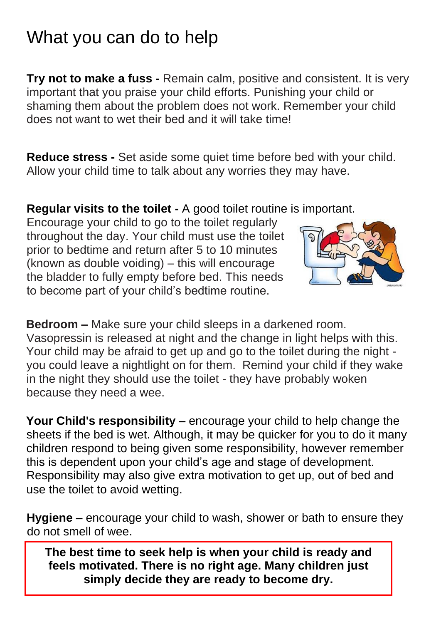## What you can do to help

**Try not to make a fuss -** Remain calm, positive and consistent. It is very important that you praise your child efforts. Punishing your child or shaming them about the problem does not work. Remember your child does not want to wet their bed and it will take time!

**Reduce stress -** Set aside some quiet time before bed with your child. Allow your child time to talk about any worries they may have.

#### **Regular visits to the toilet -** A good toilet routine is important.

Encourage your child to go to the toilet regularly throughout the day. Your child must use the toilet prior to bedtime and return after 5 to 10 minutes (known as double voiding) – this will encourage the bladder to fully empty before bed. This needs to become part of your child's bedtime routine.



**Bedroom –** Make sure your child sleeps in a darkened room. Vasopressin is released at night and the change in light helps with this. Your child may be afraid to get up and go to the toilet during the night you could leave a nightlight on for them. Remind your child if they wake in the night they should use the toilet - they have probably woken because they need a wee.

**Your Child's responsibility –** encourage your child to help change the sheets if the bed is wet. Although, it may be quicker for you to do it many children respond to being given some responsibility, however remember this is dependent upon your child's age and stage of development. Responsibility may also give extra motivation to get up, out of bed and use the toilet to avoid wetting.

**Hygiene –** encourage your child to wash, shower or bath to ensure they do not smell of wee.

simply decide they are ready to become dry. **The best time to seek help is when your child is ready and feels motivated. There is no right age. Many children just**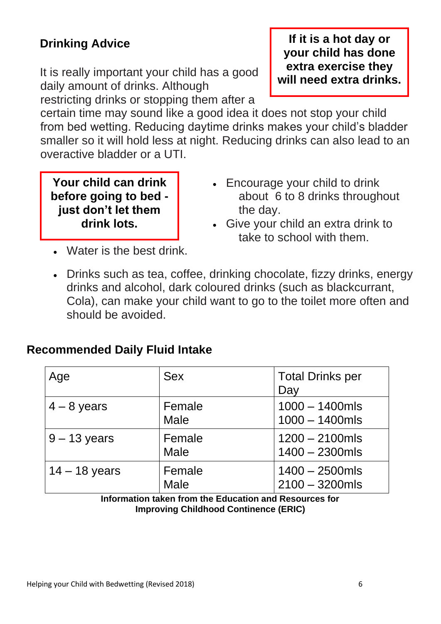### **Drinking Advice**

It is really important your child has a good daily amount of drinks. Although restricting drinks or stopping them after a

**If it is a hot day or your child has done extra exercise they will need extra drinks.**

certain time may sound like a good idea it does not stop your child from bed wetting. Reducing daytime drinks makes your child's bladder smaller so it will hold less at night. Reducing drinks can also lead to an overactive bladder or a UTI.

**Your child can drink before going to bed just don't let them drink lots.**

- Encourage your child to drink about 6 to 8 drinks throughout the day.
- Give your child an extra drink to take to school with them.
- Water is the best drink.
- Drinks such as tea, coffee, drinking chocolate, fizzy drinks, energy drinks and alcohol, dark coloured drinks (such as blackcurrant, Cola), can make your child want to go to the toilet more often and should be avoided.

#### **Recommended Daily Fluid Intake**

| Age             | <b>Sex</b>            | <b>Total Drinks per</b><br>Day         |
|-----------------|-----------------------|----------------------------------------|
| $4 - 8$ years   | Female<br><b>Male</b> | $1000 - 1400$ mls<br>$1000 - 1400$ mls |
| $9 - 13$ years  | Female<br><b>Male</b> | $1200 - 2100$ mls<br>$1400 - 2300$ mls |
| $14 - 18$ years | Female<br><b>Male</b> | $1400 - 2500$ mls<br>$2100 - 3200$ mls |

**Information taken from the Education and Resources for Improving Childhood Continence (ERIC)**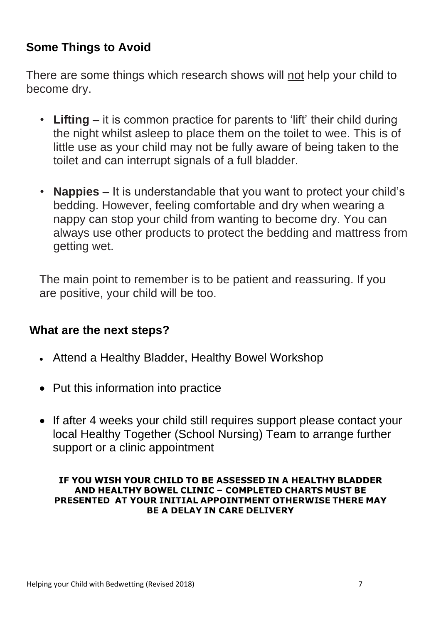#### **Some Things to Avoid**

There are some things which research shows will not help your child to become dry.

- Lifting it is common practice for parents to 'lift' their child during the night whilst asleep to place them on the toilet to wee. This is of little use as your child may not be fully aware of being taken to the toilet and can interrupt signals of a full bladder.
- **Nappies –** It is understandable that you want to protect your child's bedding. However, feeling comfortable and dry when wearing a nappy can stop your child from wanting to become dry. You can always use other products to protect the bedding and mattress from getting wet.

The main point to remember is to be patient and reassuring. If you are positive, your child will be too.

#### **What are the next steps?**

- Attend a Healthy Bladder, Healthy Bowel Workshop
- Put this information into practice
- If after 4 weeks your child still requires support please contact your local Healthy Together (School Nursing) Team to arrange further support or a clinic appointment

#### IF YOU WISH YOUR CHILD TO BE ASSESSED IN A HEALTHY BLADDER AND HEALTHY BOWEL CLINIC - COMPLETED CHARTS MUST BE PRESENTED AT YOUR INITIAL APPOINTMENT OTHERWISE THERE MAY **BE A DELAY IN CARE DELIVERY**